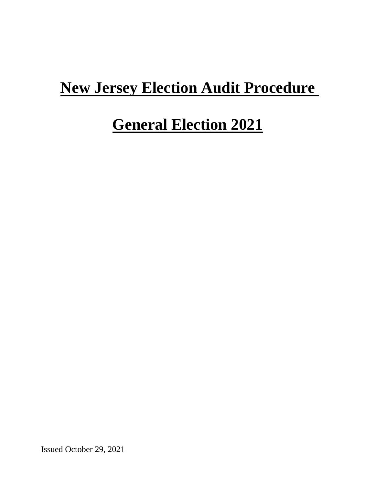# **New Jersey Election Audit Procedure**

# **General Election 2021**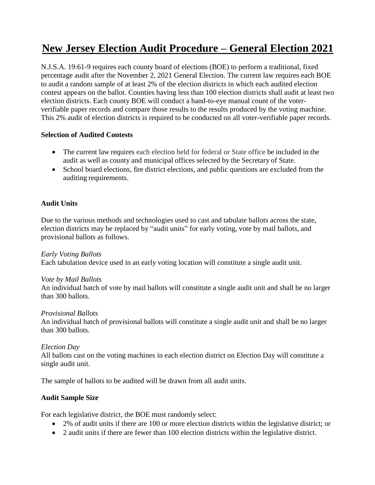# **New Jersey Election Audit Procedure – General Election 2021**

N.J.S.A. 19:61-9 requires each county board of elections (BOE) to perform a traditional, fixed percentage audit after the November 2, 2021 General Election. The current law requires each BOE to audit a random sample of at least 2% of the election districts in which each audited election contest appears on the ballot. Counties having less than 100 election districts shall audit at least two election districts. Each county BOE will conduct a hand-to-eye manual count of the voterverifiable paper records and compare those results to the results produced by the voting machine. This 2% audit of election districts is required to be conducted on all voter-verifiable paper records.

#### **Selection of Audited Contests**

- The current law requires each election held for federal or State office be included in the audit as well as county and municipal offices selected by the Secretary of State.
- School board elections, fire district elections, and public questions are excluded from the auditing requirements.

# **Audit Units**

Due to the various methods and technologies used to cast and tabulate ballots across the state, election districts may be replaced by "audit units" for early voting, vote by mail ballots, and provisional ballots as follows.

# *Early Voting Ballots*

Each tabulation device used in an early voting location will constitute a single audit unit.

#### *Vote by Mail Ballots*

An individual batch of vote by mail ballots will constitute a single audit unit and shall be no larger than 300 ballots.

#### *Provisional Ballots*

An individual batch of provisional ballots will constitute a single audit unit and shall be no larger than 300 ballots.

#### *Election Day*

All ballots cast on the voting machines in each election district on Election Day will constitute a single audit unit.

The sample of ballots to be audited will be drawn from all audit units.

# **Audit Sample Size**

For each legislative district, the BOE must randomly select:

- 2% of audit units if there are 100 or more election districts within the legislative district; or
- 2 audit units if there are fewer than 100 election districts within the legislative district.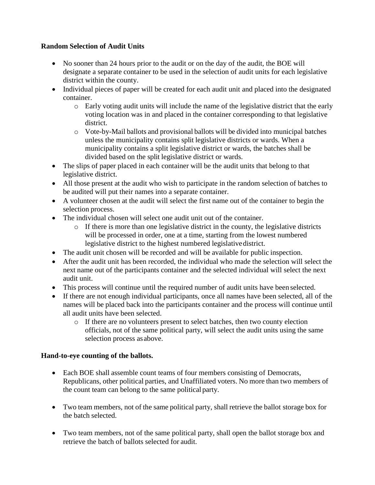# **Random Selection of Audit Units**

- No sooner than 24 hours prior to the audit or on the day of the audit, the BOE will designate a separate container to be used in the selection of audit units for each legislative district within the county.
- Individual pieces of paper will be created for each audit unit and placed into the designated container.
	- $\circ$  Early voting audit units will include the name of the legislative district that the early voting location was in and placed in the container corresponding to that legislative district.
	- o Vote-by-Mail ballots and provisional ballots will be divided into municipal batches unless the municipality contains split legislative districts or wards. When a municipality contains a split legislative district or wards, the batches shall be divided based on the split legislative district or wards.
- The slips of paper placed in each container will be the audit units that belong to that legislative district.
- All those present at the audit who wish to participate in the random selection of batches to be audited will put their names into a separate container.
- A volunteer chosen at the audit will select the first name out of the container to begin the selection process.
- The individual chosen will select one audit unit out of the container.
	- o If there is more than one legislative district in the county, the legislative districts will be processed in order, one at a time, starting from the lowest numbered legislative district to the highest numbered legislativedistrict.
- The audit unit chosen will be recorded and will be available for public inspection.
- After the audit unit has been recorded, the individual who made the selection will select the next name out of the participants container and the selected individual will select the next audit unit.
- This process will continue until the required number of audit units have been selected.
- If there are not enough individual participants, once all names have been selected, all of the names will be placed back into the participants container and the process will continue until all audit units have been selected.
	- o If there are no volunteers present to select batches, then two county election officials, not of the same political party, will select the audit units using the same selection process asabove.

# **Hand-to-eye counting of the ballots.**

- Each BOE shall assemble count teams of four members consisting of Democrats, Republicans, other political parties, and Unaffiliated voters. No more than two members of the count team can belong to the same political party.
- Two team members, not of the same political party, shall retrieve the ballot storage box for the batch selected.
- Two team members, not of the same political party, shall open the ballot storage box and retrieve the batch of ballots selected for audit.